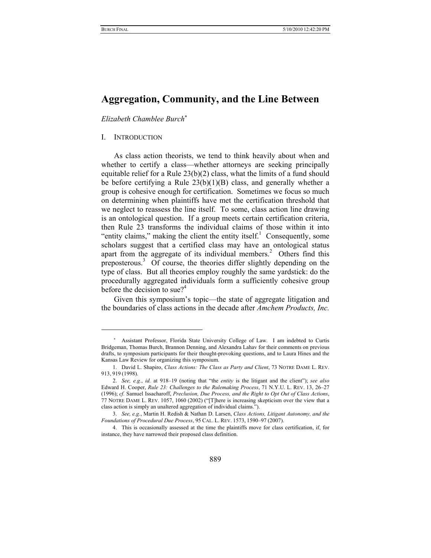# **Aggregation, Community, and the Line Between**

*Elizabeth Chamblee Burch*<sup>∗</sup>

#### I. INTRODUCTION

l

As class action theorists, we tend to think heavily about when and whether to certify a class—whether attorneys are seeking principally equitable relief for a Rule 23(b)(2) class, what the limits of a fund should be before certifying a Rule 23(b)(1)(B) class, and generally whether a group is cohesive enough for certification. Sometimes we focus so much on determining when plaintiffs have met the certification threshold that we neglect to reassess the line itself. To some, class action line drawing is an ontological question. If a group meets certain certification criteria, then Rule 23 transforms the individual claims of those within it into "entity claims," making the client the entity itself.<sup>1</sup> Consequently, some scholars suggest that a certified class may have an ontological status apart from the aggregate of its individual members.<sup>2</sup> Others find this preposterous.<sup>3</sup> Of course, the theories differ slightly depending on the type of class. But all theories employ roughly the same yardstick: do the procedurally aggregated individuals form a sufficiently cohesive group before the decision to sue? $4$ 

Given this symposium's topic—the state of aggregate litigation and the boundaries of class actions in the decade after *Amchem Products, Inc.* 

<sup>∗</sup> Assistant Professor, Florida State University College of Law. I am indebted to Curtis Bridgeman, Thomas Burch, Brannon Denning, and Alexandra Lahav for their comments on previous drafts, to symposium participants for their thought-provoking questions, and to Laura Hines and the Kansas Law Review for organizing this symposium.

 <sup>1.</sup> David L. Shapiro, *Class Actions: The Class as Party and Client*, 73 NOTRE DAME L. REV. 913, 919 (1998).

<sup>2.</sup> *See, e.g.*, *id.* at 918–19 (noting that "the *entity* is the litigant and the client"); *see also*  Edward H. Cooper, *Rule 23: Challenges to the Rulemaking Process*, 71 N.Y.U. L. REV. 13, 26–27 (1996); *cf.* Samuel Issacharoff, *Preclusion, Due Process, and the Right to Opt Out of Class Actions*, 77 NOTRE DAME L. REV. 1057, 1060 (2002) ("[T]here is increasing skepticism over the view that a class action is simply an unaltered aggregation of individual claims.").

<sup>3.</sup> *See, e.g.*, Martin H. Redish & Nathan D. Larsen, *Class Actions, Litigant Autonomy, and the Foundations of Procedural Due Process*, 95 CAL. L. REV. 1573, 1590–97 (2007).

 <sup>4.</sup> This is occasionally assessed at the time the plaintiffs move for class certification, if, for instance, they have narrowed their proposed class definition.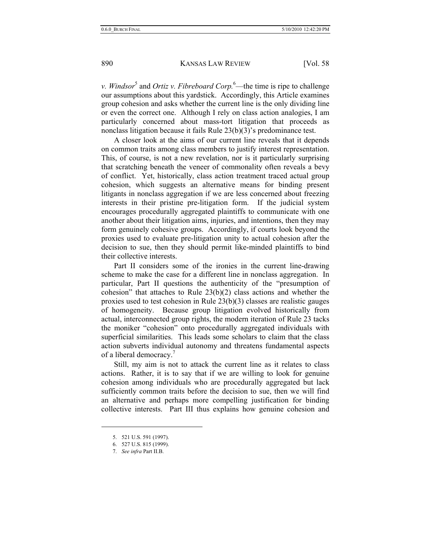*v. Windsor*<sup>5</sup> and *Ortiz v. Fibreboard Corp.*<sup>6</sup>—the time is ripe to challenge our assumptions about this yardstick. Accordingly, this Article examines group cohesion and asks whether the current line is the only dividing line or even the correct one. Although I rely on class action analogies, I am particularly concerned about mass-tort litigation that proceeds as nonclass litigation because it fails Rule 23(b)(3)'s predominance test.

A closer look at the aims of our current line reveals that it depends on common traits among class members to justify interest representation. This, of course, is not a new revelation, nor is it particularly surprising that scratching beneath the veneer of commonality often reveals a bevy of conflict. Yet, historically, class action treatment traced actual group cohesion, which suggests an alternative means for binding present litigants in nonclass aggregation if we are less concerned about freezing interests in their pristine pre-litigation form. If the judicial system encourages procedurally aggregated plaintiffs to communicate with one another about their litigation aims, injuries, and intentions, then they may form genuinely cohesive groups. Accordingly, if courts look beyond the proxies used to evaluate pre-litigation unity to actual cohesion after the decision to sue, then they should permit like-minded plaintiffs to bind their collective interests.

Part II considers some of the ironies in the current line-drawing scheme to make the case for a different line in nonclass aggregation. In particular, Part II questions the authenticity of the "presumption of cohesion" that attaches to Rule 23(b)(2) class actions and whether the proxies used to test cohesion in Rule 23(b)(3) classes are realistic gauges of homogeneity. Because group litigation evolved historically from actual, interconnected group rights, the modern iteration of Rule 23 tacks the moniker "cohesion" onto procedurally aggregated individuals with superficial similarities. This leads some scholars to claim that the class action subverts individual autonomy and threatens fundamental aspects of a liberal democracy.<sup>7</sup>

Still, my aim is not to attack the current line as it relates to class actions. Rather, it is to say that if we are willing to look for genuine cohesion among individuals who are procedurally aggregated but lack sufficiently common traits before the decision to sue, then we will find an alternative and perhaps more compelling justification for binding collective interests. Part III thus explains how genuine cohesion and

l

 <sup>5. 521</sup> U.S. 591 (1997).

 <sup>6. 527</sup> U.S. 815 (1999).

<sup>7.</sup> *See infra* Part II.B.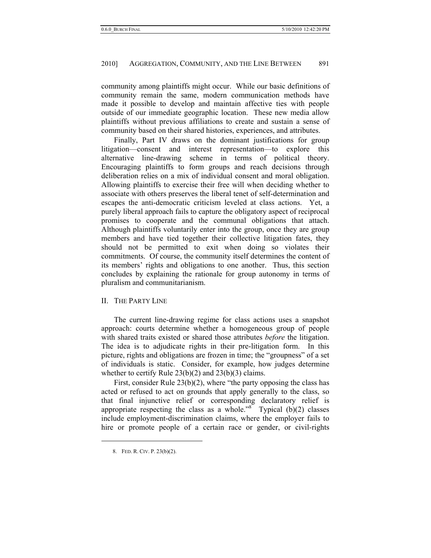community among plaintiffs might occur. While our basic definitions of community remain the same, modern communication methods have made it possible to develop and maintain affective ties with people outside of our immediate geographic location. These new media allow plaintiffs without previous affiliations to create and sustain a sense of community based on their shared histories, experiences, and attributes.

Finally, Part IV draws on the dominant justifications for group litigation—consent and interest representation—to explore this alternative line-drawing scheme in terms of political theory. Encouraging plaintiffs to form groups and reach decisions through deliberation relies on a mix of individual consent and moral obligation. Allowing plaintiffs to exercise their free will when deciding whether to associate with others preserves the liberal tenet of self-determination and escapes the anti-democratic criticism leveled at class actions. Yet, a purely liberal approach fails to capture the obligatory aspect of reciprocal promises to cooperate and the communal obligations that attach. Although plaintiffs voluntarily enter into the group, once they are group members and have tied together their collective litigation fates, they should not be permitted to exit when doing so violates their commitments. Of course, the community itself determines the content of its members' rights and obligations to one another. Thus, this section concludes by explaining the rationale for group autonomy in terms of pluralism and communitarianism.

## II. THE PARTY LINE

The current line-drawing regime for class actions uses a snapshot approach: courts determine whether a homogeneous group of people with shared traits existed or shared those attributes *before* the litigation. The idea is to adjudicate rights in their pre-litigation form. In this picture, rights and obligations are frozen in time; the "groupness" of a set of individuals is static. Consider, for example, how judges determine whether to certify Rule  $23(b)(2)$  and  $23(b)(3)$  claims.

First, consider Rule  $23(b)(2)$ , where "the party opposing the class has acted or refused to act on grounds that apply generally to the class, so that final injunctive relief or corresponding declaratory relief is appropriate respecting the class as a whole.<sup>38</sup> Typical (b)(2) classes include employment-discrimination claims, where the employer fails to hire or promote people of a certain race or gender, or civil-rights

1

 <sup>8.</sup> FED. R. CIV. P. 23(b)(2).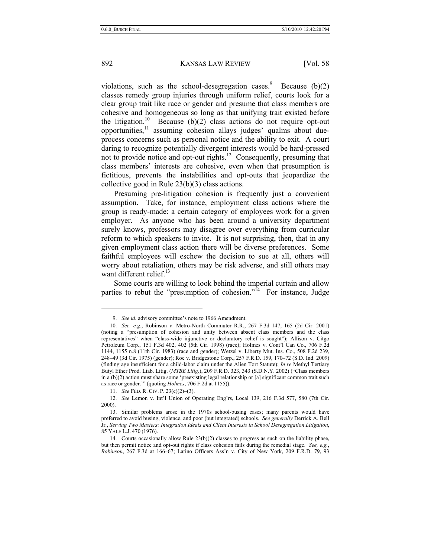l

## 892 KANSAS LAW REVIEW [Vol. 58]

violations, such as the school-desegregation cases.<sup>9</sup> Because (b)(2) classes remedy group injuries through uniform relief, courts look for a clear group trait like race or gender and presume that class members are cohesive and homogeneous so long as that unifying trait existed before the litigation.<sup>10</sup> Because (b)(2) class actions do not require opt-out opportunities, $\frac{11}{11}$  assuming cohesion allays judges' qualms about dueprocess concerns such as personal notice and the ability to exit. A court daring to recognize potentially divergent interests would be hard-pressed not to provide notice and opt-out rights.<sup>12</sup> Consequently, presuming that class members' interests are cohesive, even when that presumption is fictitious, prevents the instabilities and opt-outs that jeopardize the collective good in Rule 23(b)(3) class actions.

Presuming pre-litigation cohesion is frequently just a convenient assumption. Take, for instance, employment class actions where the group is ready-made: a certain category of employees work for a given employer. As anyone who has been around a university department surely knows, professors may disagree over everything from curricular reform to which speakers to invite. It is not surprising, then, that in any given employment class action there will be diverse preferences. Some faithful employees will eschew the decision to sue at all, others will worry about retaliation, others may be risk adverse, and still others may want different relief.<sup>13</sup>

Some courts are willing to look behind the imperial curtain and allow parties to rebut the "presumption of cohesion."<sup>14</sup> For instance, Judge

<sup>9.</sup> *See id.* advisory committee's note to 1966 Amendment.

<sup>10.</sup> *See, e.g.*, Robinson v. Metro-North Commuter R.R., 267 F.3d 147, 165 (2d Cir. 2001) (noting a "presumption of cohesion and unity between absent class members and the class representatives" when "class-wide injunctive or declaratory relief is sought"); Allison v. Citgo Petroleum Corp., 151 F.3d 402, 402 (5th Cir. 1998) (race); Holmes v. Cont'l Can Co., 706 F.2d 1144, 1155 n.8 (11th Cir. 1983) (race and gender); Wetzel v. Liberty Mut. Ins. Co., 508 F.2d 239, 248–49 (3d Cir. 1975) (gender); Roe v. Bridgestone Corp., 257 F.R.D. 159, 170–72 (S.D. Ind. 2009) (finding age insufficient for a child-labor claim under the Alien Tort Statute); *In re* Methyl Tertiary Butyl Ether Prod. Liab. Litig. (*MTBE Litig.*), 209 F.R.D. 323, 343 (S.D.N.Y. 2002) ("Class members in a (b)(2) action must share some 'preexisting legal relationship or [a] significant common trait such as race or gender.'" (quoting *Holmes*, 706 F.2d at 1155)).

<sup>11.</sup> *See* FED. R. CIV. P. 23(c)(2)–(3).

<sup>12.</sup> *See* Lemon v. Int'l Union of Operating Eng'rs, Local 139, 216 F.3d 577, 580 (7th Cir. 2000).

 <sup>13.</sup> Similar problems arose in the 1970s school-busing cases; many parents would have preferred to avoid busing, violence, and poor (but integrated) schools. *See generally* Derrick A. Bell Jr., *Serving Two Masters: Integration Ideals and Client Interests in School Desegregation Litigation*, 85 YALE L.J. 470 (1976).

 <sup>14.</sup> Courts occasionally allow Rule 23(b)(2) classes to progress as such on the liability phase, but then permit notice and opt-out rights if class cohesion fails during the remedial stage. *See, e.g.*, *Robinson*, 267 F.3d at 166–67; Latino Officers Ass'n v. City of New York, 209 F.R.D. 79, 93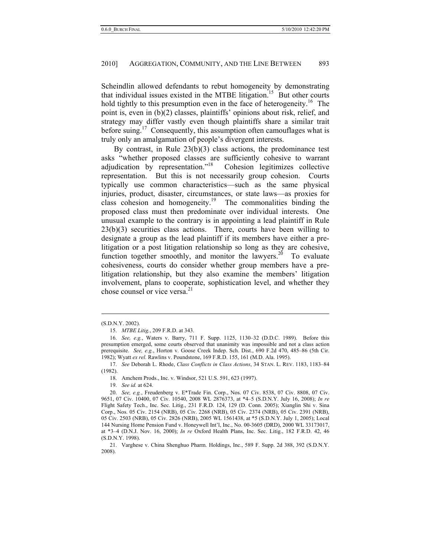Scheindlin allowed defendants to rebut homogeneity by demonstrating that individual issues existed in the MTBE litigation.<sup>15</sup> But other courts hold tightly to this presumption even in the face of heterogeneity.<sup>16</sup> The point is, even in (b)(2) classes, plaintiffs' opinions about risk, relief, and strategy may differ vastly even though plaintiffs share a similar trait before suing.<sup>17</sup> Consequently, this assumption often camouflages what is truly only an amalgamation of people's divergent interests.

By contrast, in Rule  $23(b)(3)$  class actions, the predominance test asks "whether proposed classes are sufficiently cohesive to warrant adjudication by representation."18 Cohesion legitimizes collective representation. But this is not necessarily group cohesion. Courts typically use common characteristics—such as the same physical injuries, product, disaster, circumstances, or state laws—as proxies for class cohesion and homogeneity.19 The commonalities binding the proposed class must then predominate over individual interests. One unusual example to the contrary is in appointing a lead plaintiff in Rule 23(b)(3) securities class actions. There, courts have been willing to designate a group as the lead plaintiff if its members have either a prelitigation or a post litigation relationship so long as they are cohesive, function together smoothly, and monitor the lawyers.<sup>20</sup> To evaluate cohesiveness, courts do consider whether group members have a prelitigation relationship, but they also examine the members' litigation involvement, plans to cooperate, sophistication level, and whether they chose counsel or vice versa. $^{21}$ 

-

18. Amchem Prods., Inc. v. Windsor, 521 U.S. 591, 623 (1997).

<sup>(</sup>S.D.N.Y. 2002).

<sup>15.</sup> *MTBE Litig.*, 209 F.R.D. at 343.

<sup>16.</sup> *See, e.g.*, Waters v. Barry, 711 F. Supp. 1125, 1130–32 (D.D.C. 1989). Before this presumption emerged, some courts observed that unanimity was impossible and not a class action prerequisite. *See, e.g.*, Horton v. Goose Creek Indep. Sch. Dist., 690 F.2d 470, 485–86 (5th Cir. 1982); Wyatt *ex rel.* Rawlins v. Poundstone, 169 F.R.D. 155, 161 (M.D. Ala. 1995).

<sup>17.</sup> *See* Deborah L. Rhode, *Class Conflicts in Class Actions*, 34 STAN. L. REV. 1183, 1183–84 (1982).

<sup>19.</sup> *See id.* at 624.

<sup>20.</sup> *See, e.g.*, Freudenberg v. E\*Trade Fin. Corp., Nos. 07 Civ. 8538, 07 Civ. 8808, 07 Civ. 9651, 07 Civ. 10400, 07 Civ. 10540, 2008 WL 2876373, at \*4–5 (S.D.N.Y. July 16, 2008); *In re*  Flight Safety Tech., Inc. Sec. Litig., 231 F.R.D. 124, 129 (D. Conn. 2005); Xianglin Shi v. Sina Corp., Nos. 05 Civ. 2154 (NRB), 05 Civ. 2268 (NRB), 05 Civ. 2374 (NRB), 05 Civ. 2391 (NRB), 05 Civ. 2503 (NRB), 05 Civ. 2826 (NRB), 2005 WL 1561438, at \*5 (S.D.N.Y. July 1, 2005); Local 144 Nursing Home Pension Fund v. Honeywell Int'l, Inc., No. 00-3605 (DRD), 2000 WL 33173017, at \*3–4 (D.N.J. Nov. 16, 2000); *In re* Oxford Health Plans, Inc. Sec. Litig., 182 F.R.D. 42, 46 (S.D.N.Y. 1998).

 <sup>21.</sup> Varghese v. China Shenghuo Pharm. Holdings, Inc., 589 F. Supp. 2d 388, 392 (S.D.N.Y. 2008).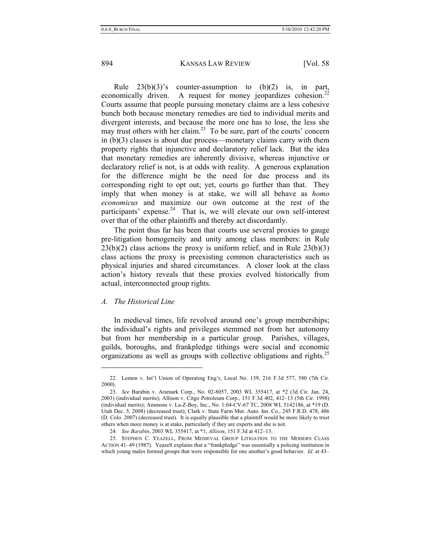Rule  $23(b)(3)$ 's counter-assumption to  $(b)(2)$  is, in part, economically driven. A request for money jeopardizes cohesion.<sup>22</sup> Courts assume that people pursuing monetary claims are a less cohesive bunch both because monetary remedies are tied to individual merits and divergent interests, and because the more one has to lose, the less she may trust others with her claim.<sup>23</sup> To be sure, part of the courts' concern in (b)(3) classes is about due process—monetary claims carry with them property rights that injunctive and declaratory relief lack. But the idea that monetary remedies are inherently divisive, whereas injunctive or declaratory relief is not, is at odds with reality. A generous explanation for the difference might be the need for due process and its corresponding right to opt out; yet, courts go further than that. They imply that when money is at stake, we will all behave as *homo economicus* and maximize our own outcome at the rest of the participants' expense. $24$  That is, we will elevate our own self-interest over that of the other plaintiffs and thereby act discordantly.

The point thus far has been that courts use several proxies to gauge pre-litigation homogeneity and unity among class members: in Rule  $23(b)(2)$  class actions the proxy is uniform relief, and in Rule  $23(b)(3)$ class actions the proxy is preexisting common characteristics such as physical injuries and shared circumstances. A closer look at the class action's history reveals that these proxies evolved historically from actual, interconnected group rights.

## *A. The Historical Line*

1

In medieval times, life revolved around one's group memberships; the individual's rights and privileges stemmed not from her autonomy but from her membership in a particular group. Parishes, villages, guilds, boroughs, and frankpledge tithings were social and economic organizations as well as groups with collective obligations and rights.<sup>25</sup>

 <sup>22.</sup> Lemon v. Int'l Union of Operating Eng'r, Local No. 139, 216 F.3d 577, 580 (7th Cir. 2000).

<sup>23.</sup> *See* Barabin v. Aramark Corp., No. 02-8057, 2003 WL 355417, at \*2 (3d Cir. Jan. 24, 2003) (individual merits); Allison v. Citgo Petroleum Corp., 151 F.3d 402, 412–13 (5th Cir. 1998) (individual merits); Ammons v. La-Z-Boy, Inc., No. 1:04-CV-67 TC, 2008 WL 5142186, at \*19 (D. Utah Dec. 5, 2008) (decreased trust); Clark v. State Farm Mut. Auto. Ins. Co., 245 F.R.D. 478, 486 (D. Colo. 2007) (decreased trust). It is equally plausible that a plaintiff would be more likely to trust others when more money is at stake, particularly if they are experts and she is not.

<sup>24.</sup> *See Barabin*, 2003 WL 355417, at \*1; *Allison*, 151 F.3d at 412–13.

 <sup>25.</sup> STEPHEN C. YEAZELL, FROM MEDIEVAL GROUP LITIGATION TO THE MODERN CLASS ACTION 41–49 (1987). Yeazell explains that a "frankpledge" was essentially a policing institution in which young males formed groups that were responsible for one another's good behavior. *Id.* at 43–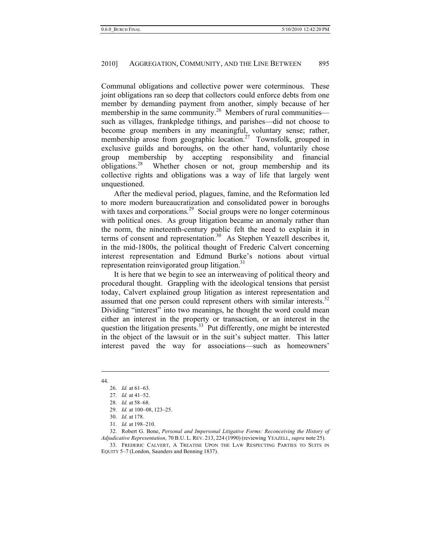Communal obligations and collective power were coterminous. These joint obligations ran so deep that collectors could enforce debts from one member by demanding payment from another, simply because of her membership in the same community.<sup>26</sup> Members of rural communities such as villages, frankpledge tithings, and parishes—did not choose to become group members in any meaningful, voluntary sense; rather, membership arose from geographic location.<sup>27</sup> Townsfolk, grouped in exclusive guilds and boroughs, on the other hand, voluntarily chose group membership by accepting responsibility and financial obligations.<sup>28</sup> Whether chosen or not, group membership and its collective rights and obligations was a way of life that largely went unquestioned.

After the medieval period, plagues, famine, and the Reformation led to more modern bureaucratization and consolidated power in boroughs with taxes and corporations.<sup>29</sup> Social groups were no longer coterminous with political ones. As group litigation became an anomaly rather than the norm, the nineteenth-century public felt the need to explain it in terms of consent and representation.<sup>30</sup> As Stephen Yeazell describes it, in the mid-1800s, the political thought of Frederic Calvert concerning interest representation and Edmund Burke's notions about virtual representation reinvigorated group litigation.<sup>31</sup>

It is here that we begin to see an interweaving of political theory and procedural thought. Grappling with the ideological tensions that persist today, Calvert explained group litigation as interest representation and assumed that one person could represent others with similar interests.<sup>32</sup> Dividing "interest" into two meanings, he thought the word could mean either an interest in the property or transaction, or an interest in the question the litigation presents.<sup>33</sup> Put differently, one might be interested in the object of the lawsuit or in the suit's subject matter. This latter interest paved the way for associations—such as homeowners'

 32. Robert G. Bone, *Personal and Impersonal Litigative Forms: Reconceiving the History of Adjudicative Representation*, 70 B.U. L. REV. 213, 224 (1990) (reviewing YEAZELL, *supra* note 25).

 33. FREDERIC CALVERT, A TREATISE UPON THE LAW RESPECTING PARTIES TO SUITS IN EQUITY 5–7 (London, Saunders and Benning 1837).

l 44.

<sup>26.</sup> *Id.* at 61–63.

<sup>27.</sup> *Id.* at 41–52.

<sup>28.</sup> *Id.* at 58–68.

<sup>29.</sup> *Id.* at 100–08, 123–25.

<sup>30.</sup> *Id.* at 178.

<sup>31.</sup> *Id.* at 198–210.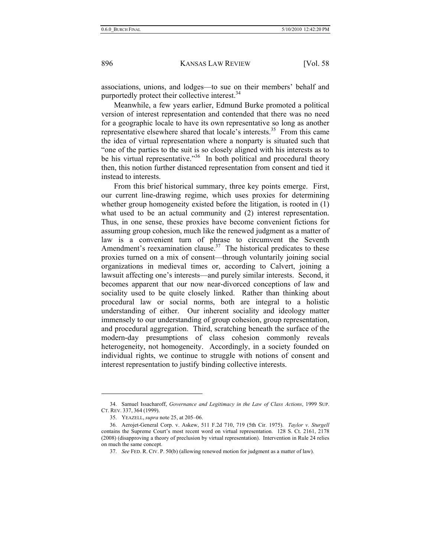associations, unions, and lodges—to sue on their members' behalf and purportedly protect their collective interest.<sup>34</sup>

Meanwhile, a few years earlier, Edmund Burke promoted a political version of interest representation and contended that there was no need for a geographic locale to have its own representative so long as another representative elsewhere shared that locale's interests.<sup>35</sup> From this came the idea of virtual representation where a nonparty is situated such that "one of the parties to the suit is so closely aligned with his interests as to be his virtual representative."<sup>36</sup> In both political and procedural theory then, this notion further distanced representation from consent and tied it instead to interests.

From this brief historical summary, three key points emerge. First, our current line-drawing regime, which uses proxies for determining whether group homogeneity existed before the litigation, is rooted in (1) what used to be an actual community and  $(2)$  interest representation. Thus, in one sense, these proxies have become convenient fictions for assuming group cohesion, much like the renewed judgment as a matter of law is a convenient turn of phrase to circumvent the Seventh Amendment's reexamination clause.<sup>37</sup> The historical predicates to these proxies turned on a mix of consent—through voluntarily joining social organizations in medieval times or, according to Calvert, joining a lawsuit affecting one's interests—and purely similar interests. Second, it becomes apparent that our now near-divorced conceptions of law and sociality used to be quite closely linked. Rather than thinking about procedural law or social norms, both are integral to a holistic understanding of either. Our inherent sociality and ideology matter immensely to our understanding of group cohesion, group representation, and procedural aggregation. Third, scratching beneath the surface of the modern-day presumptions of class cohesion commonly reveals heterogeneity, not homogeneity. Accordingly, in a society founded on individual rights, we continue to struggle with notions of consent and interest representation to justify binding collective interests.

1

 <sup>34.</sup> Samuel Issacharoff, *Governance and Legitimacy in the Law of Class Actions*, 1999 SUP. CT. REV. 337, 364 (1999).

 <sup>35.</sup> YEAZELL, *supra* note 25, at 205–06.

 <sup>36.</sup> Aerojet-General Corp. v. Askew, 511 F.2d 710, 719 (5th Cir. 1975). *Taylor v. Sturgell*  contains the Supreme Court's most recent word on virtual representation. 128 S. Ct. 2161, 2178 (2008) (disapproving a theory of preclusion by virtual representation). Intervention in Rule 24 relies on much the same concept.

<sup>37.</sup> *See* FED. R. CIV. P. 50(b) (allowing renewed motion for judgment as a matter of law).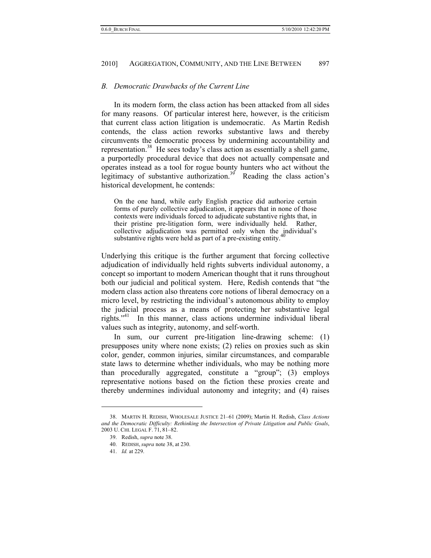### *B. Democratic Drawbacks of the Current Line*

In its modern form, the class action has been attacked from all sides for many reasons. Of particular interest here, however, is the criticism that current class action litigation is undemocratic. As Martin Redish contends, the class action reworks substantive laws and thereby circumvents the democratic process by undermining accountability and representation.38 He sees today's class action as essentially a shell game, a purportedly procedural device that does not actually compensate and operates instead as a tool for rogue bounty hunters who act without the legitimacy of substantive authorization.<sup>39</sup> Reading the class action's historical development, he contends:

On the one hand, while early English practice did authorize certain forms of purely collective adjudication, it appears that in none of those contexts were individuals forced to adjudicate substantive rights that, in their pristine pre-litigation form, were individually held. Rather, collective adjudication was permitted only when the individual's substantive rights were held as part of a pre-existing entity.<sup>40</sup>

Underlying this critique is the further argument that forcing collective adjudication of individually held rights subverts individual autonomy, a concept so important to modern American thought that it runs throughout both our judicial and political system. Here, Redish contends that "the modern class action also threatens core notions of liberal democracy on a micro level, by restricting the individual's autonomous ability to employ the judicial process as a means of protecting her substantive legal rights."41 In this manner, class actions undermine individual liberal values such as integrity, autonomy, and self-worth.

In sum, our current pre-litigation line-drawing scheme: (1) presupposes unity where none exists; (2) relies on proxies such as skin color, gender, common injuries, similar circumstances, and comparable state laws to determine whether individuals, who may be nothing more than procedurally aggregated, constitute a "group"; (3) employs representative notions based on the fiction these proxies create and thereby undermines individual autonomy and integrity; and (4) raises

l

 <sup>38.</sup> MARTIN H. REDISH, WHOLESALE JUSTICE 21–61 (2009); Martin H. Redish, *Class Actions and the Democratic Difficulty: Rethinking the Intersection of Private Litigation and Public Goals*, 2003 U. CHI. LEGAL F. 71, 81–82.

 <sup>39.</sup> Redish, *supra* note 38.

 <sup>40.</sup> REDISH, *supra* note 38, at 230.

<sup>41.</sup> *Id.* at 229.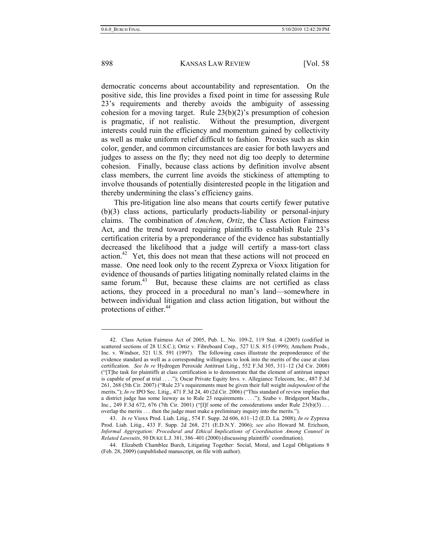l

898 KANSAS LAW REVIEW [Vol. 58]

democratic concerns about accountability and representation. On the positive side, this line provides a fixed point in time for assessing Rule 23's requirements and thereby avoids the ambiguity of assessing cohesion for a moving target. Rule 23(b)(2)'s presumption of cohesion is pragmatic, if not realistic. Without the presumption, divergent interests could ruin the efficiency and momentum gained by collectivity as well as make uniform relief difficult to fashion. Proxies such as skin color, gender, and common circumstances are easier for both lawyers and judges to assess on the fly; they need not dig too deeply to determine cohesion. Finally, because class actions by definition involve absent class members, the current line avoids the stickiness of attempting to involve thousands of potentially disinterested people in the litigation and thereby undermining the class's efficiency gains.

This pre-litigation line also means that courts certify fewer putative (b)(3) class actions, particularly products-liability or personal-injury claims. The combination of *Amchem*, *Ortiz*, the Class Action Fairness Act, and the trend toward requiring plaintiffs to establish Rule 23's certification criteria by a preponderance of the evidence has substantially decreased the likelihood that a judge will certify a mass-tort class action.<sup>42</sup> Yet, this does not mean that these actions will not proceed en masse. One need look only to the recent Zyprexa or Vioxx litigation for evidence of thousands of parties litigating nominally related claims in the same forum.<sup>43</sup> But, because these claims are not certified as class actions, they proceed in a procedural no man's land—somewhere in between individual litigation and class action litigation, but without the protections of either.<sup>44</sup>

 <sup>42.</sup> Class Action Fairness Act of 2005, Pub. L. No. 109-2, 119 Stat. 4 (2005) (codified in scattered sections of 28 U.S.C.); Ortiz v. Fibreboard Corp., 527 U.S. 815 (1999); Amchem Prods., Inc. v. Windsor, 521 U.S. 591 (1997). The following cases illustrate the preponderance of the evidence standard as well as a corresponding willingness to look into the merits of the case at class certification. *See In re* Hydrogen Peroxide Antitrust Litig., 552 F.3d 305, 311–12 (3d Cir. 2008) ("[T]he task for plaintiffs at class certification is to demonstrate that the element of antitrust impact is capable of proof at trial . . . ."); Oscar Private Equity Invs. v. Allegiance Telecom, Inc., 487 F.3d 261, 268 (5th Cir. 2007) ("Rule 23's requirements must be given their full weight *independent* of the merits."); *In re* IPO Sec. Litig., 471 F.3d 24, 40 (2d Cir. 2006) ("This standard of review implies that a district judge has some leeway as to Rule 23 requirements . . . ."); Szabo v. Bridgeport Machs., Inc., 249 F.3d 672, 676 (7th Cir. 2001) ("[I]f some of the considerations under Rule  $23(b)(3)$ ... overlap the merits . . . then the judge must make a preliminary inquiry into the merits.").

<sup>43.</sup> *In re* Vioxx Prod. Liab. Litig., 574 F. Supp. 2d 606, 611–12 (E.D. La. 2008); *In re* Zyprexa Prod. Liab. Litig., 433 F. Supp. 2d 268, 271 (E.D.N.Y. 2006); *see also* Howard M. Erichson, *Informal Aggregation: Procedural and Ethical Implications of Coordination Among Counsel in Related Lawsuits*, 50 DUKE L.J. 381, 386–401 (2000) (discussing plaintiffs' coordination).

 <sup>44.</sup> Elizabeth Chamblee Burch, Litigating Together: Social, Moral, and Legal Obligations 8 (Feb. 28, 2009) (unpublished manuscript, on file with author).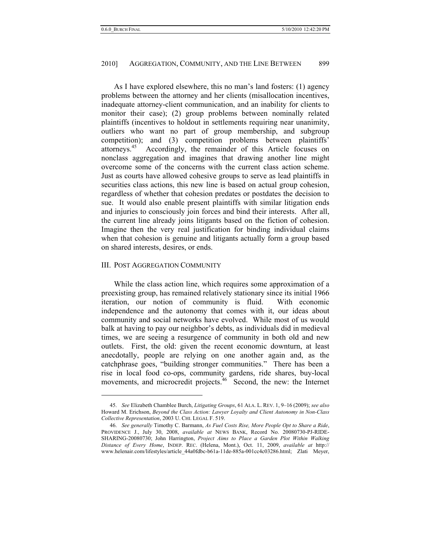As I have explored elsewhere, this no man's land fosters: (1) agency problems between the attorney and her clients (misallocation incentives, inadequate attorney-client communication, and an inability for clients to monitor their case); (2) group problems between nominally related plaintiffs (incentives to holdout in settlements requiring near unanimity, outliers who want no part of group membership, and subgroup competition); and (3) competition problems between plaintiffs' attorneys.45 Accordingly, the remainder of this Article focuses on nonclass aggregation and imagines that drawing another line might overcome some of the concerns with the current class action scheme. Just as courts have allowed cohesive groups to serve as lead plaintiffs in securities class actions, this new line is based on actual group cohesion, regardless of whether that cohesion predates or postdates the decision to sue. It would also enable present plaintiffs with similar litigation ends and injuries to consciously join forces and bind their interests. After all, the current line already joins litigants based on the fiction of cohesion. Imagine then the very real justification for binding individual claims when that cohesion is genuine and litigants actually form a group based on shared interests, desires, or ends.

#### III. POST AGGREGATION COMMUNITY

1

While the class action line, which requires some approximation of a preexisting group, has remained relatively stationary since its initial 1966 iteration, our notion of community is fluid. With economic independence and the autonomy that comes with it, our ideas about community and social networks have evolved. While most of us would balk at having to pay our neighbor's debts, as individuals did in medieval times, we are seeing a resurgence of community in both old and new outlets. First, the old: given the recent economic downturn, at least anecdotally, people are relying on one another again and, as the catchphrase goes, "building stronger communities." There has been a rise in local food co-ops, community gardens, ride shares, buy-local movements, and microcredit projects.<sup>46</sup> Second, the new: the Internet

<sup>45.</sup> *See* Elizabeth Chamblee Burch, *Litigating Groups*, 61 ALA. L. REV. 1, 9–16 (2009); *see also*  Howard M. Erichson, *Beyond the Class Action: Lawyer Loyalty and Client Autonomy in Non-Class Collective Representation*, 2003 U. CHI. LEGAL F. 519.

<sup>46.</sup> *See generally* Timothy C. Barmann, *As Fuel Costs Rise, More People Opt to Share a Ride*, PROVIDENCE J., July 30, 2008, *available at* NEWS BANK, Record No. 20080730-PJ-RIDE-SHARING-20080730; John Harrington, *Project Aims to Place a Garden Plot Within Walking Distance of Every Home*, INDEP. REC. (Helena, Mont.), Oct. 11, 2009, *available at* http:// www.helenair.com/lifestyles/article\_44a0fdbc-b61a-11de-885a-001cc4c03286.html; Zlati Meyer,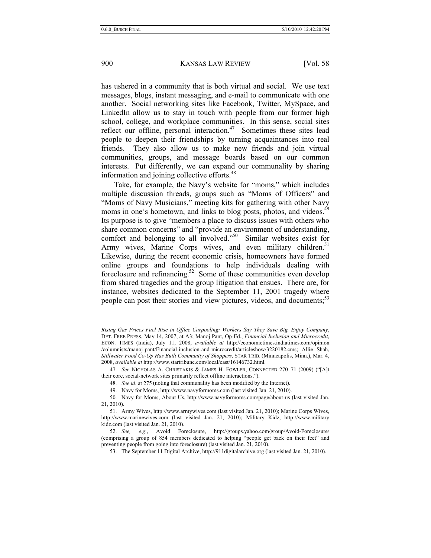1

900 KANSAS LAW REVIEW [Vol. 58]

has ushered in a community that is both virtual and social. We use text messages, blogs, instant messaging, and e-mail to communicate with one another. Social networking sites like Facebook, Twitter, MySpace, and LinkedIn allow us to stay in touch with people from our former high school, college, and workplace communities. In this sense, social sites reflect our offline, personal interaction.<sup>47</sup> Sometimes these sites lead people to deepen their friendships by turning acquaintances into real friends. They also allow us to make new friends and join virtual communities, groups, and message boards based on our common interests. Put differently, we can expand our communality by sharing information and joining collective efforts.<sup>48</sup>

Take, for example, the Navy's website for "moms," which includes multiple discussion threads, groups such as "Moms of Officers" and "Moms of Navy Musicians," meeting kits for gathering with other Navy moms in one's hometown, and links to blog posts, photos, and videos.<sup>49</sup> Its purpose is to give "members a place to discuss issues with others who share common concerns" and "provide an environment of understanding, comfort and belonging to all involved."<sup>50</sup> Similar websites exist for Army wives, Marine Corps wives, and even military children.<sup>51</sup> Likewise, during the recent economic crisis, homeowners have formed online groups and foundations to help individuals dealing with foreclosure and refinancing.52 Some of these communities even develop from shared tragedies and the group litigation that ensues. There are, for instance, websites dedicated to the September 11, 2001 tragedy where people can post their stories and view pictures, videos, and documents;<sup>53</sup>

*Rising Gas Prices Fuel Rise in Office Carpooling: Workers Say They Save Big, Enjoy Company*, DET. FREE PRESS, May 14, 2007, at A3; Manoj Pant, Op-Ed., *Financial Inclusion and Microcredit*, ECON. TIMES (India), July 11, 2008, *available at* http://economictimes.indiatimes.com/opinion /columnists/manoj-pant/Financial-inclusion-and-microcredit/articleshow/3220182.cms; Allie Shah, *Stillwater Food Co-Op Has Built Community of Shoppers*, STAR TRIB. (Minneapolis, Minn.), Mar. 4, 2008, *available at* http://www.startribune.com/local/east/16146732.html.

<sup>47.</sup> *See* NICHOLAS A. CHRISTAKIS & JAMES H. FOWLER, CONNECTED 270–71 (2009) ("[A]t their core, social-network sites primarily reflect offline interactions.").

<sup>48.</sup> *See id.* at 275 (noting that communality has been modified by the Internet).

 <sup>49.</sup> Navy for Moms, http://www.navyformoms.com (last visited Jan. 21, 2010).

 <sup>50.</sup> Navy for Moms, About Us, http://www.navyformoms.com/page/about-us (last visited Jan. 21, 2010).

 <sup>51.</sup> Army Wives, http://www.armywives.com (last visited Jan. 21, 2010); Marine Corps Wives, http://www.marinewives.com (last visited Jan. 21, 2010); Military Kidz, http://www.military kidz.com (last visited Jan. 21, 2010).

<sup>52.</sup> *See, e.g.*, Avoid Foreclosure, http://groups.yahoo.com/group/Avoid-Foreclosure/ (comprising a group of 854 members dedicated to helping "people get back on their feet" and preventing people from going into foreclosure) (last visited Jan. 21, 2010).

 <sup>53.</sup> The September 11 Digital Archive, http://911digitalarchive.org (last visited Jan. 21, 2010).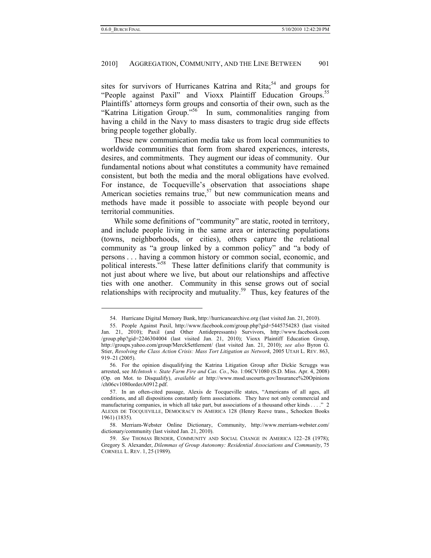l

#### 2010] AGGREGATION, COMMUNITY, AND THE LINE BETWEEN 901

sites for survivors of Hurricanes Katrina and Rita;<sup>54</sup> and groups for "People against Paxil" and Vioxx Plaintiff Education Groups.<sup>55</sup> Plaintiffs' attorneys form groups and consortia of their own, such as the "Katrina Litigation Group."<sup>56</sup> In sum, commonalities ranging from having a child in the Navy to mass disasters to tragic drug side effects bring people together globally.

These new communication media take us from local communities to worldwide communities that form from shared experiences, interests, desires, and commitments. They augment our ideas of community. Our fundamental notions about what constitutes a community have remained consistent, but both the media and the moral obligations have evolved. For instance, de Tocqueville's observation that associations shape American societies remains true, $57$  but new communication means and methods have made it possible to associate with people beyond our territorial communities.

While some definitions of "community" are static, rooted in territory, and include people living in the same area or interacting populations (towns, neighborhoods, or cities), others capture the relational community as "a group linked by a common policy" and "a body of persons . . . having a common history or common social, economic, and political interests."<sup>58</sup> These latter definitions clarify that community is not just about where we live, but about our relationships and affective ties with one another. Community in this sense grows out of social relationships with reciprocity and mutuality.<sup>59</sup> Thus, key features of the

 <sup>54.</sup> Hurricane Digital Memory Bank, http://hurricanearchive.org (last visited Jan. 21, 2010).

 <sup>55.</sup> People Against Paxil, http://www.facebook.com/group.php?gid=5445754283 (last visited Jan. 21, 2010); Paxil (and Other Antidepressants) Survivors, http://www.facebook.com /group.php?gid=2246304004 (last visited Jan. 21, 2010); Vioxx Plaintiff Education Group, http://groups.yahoo.com/group/MerckSettlement/ (last visited Jan. 21, 2010); *see also* Byron G. Stier, *Resolving the Class Action Crisis: Mass Tort Litigation as Network*, 2005 UTAH L. REV. 863, 919–21 (2005).

 <sup>56.</sup> For the opinion disqualifying the Katrina Litigation Group after Dickie Scruggs was arrested, see *McIntosh v. State Farm Fire and Cas. Co.*, No. 1:06CV1080 (S.D. Miss. Apr. 4, 2008) (Op. on Mot. to Disqualify), *available at* http://www.mssd.uscourts.gov/Insurance%20Opinions /ch06cv1080orderA0912.pdf.

 <sup>57.</sup> In an often-cited passage, Alexis de Tocqueville states, "Americans of all ages, all conditions, and all dispositions constantly form associations. They have not only commercial and manufacturing companies, in which all take part, but associations of a thousand other kinds . . . ." 2 ALEXIS DE TOCQUEVILLE, DEMOCRACY IN AMERICA 128 (Henry Reeve trans., Schocken Books 1961) (1835).

 <sup>58.</sup> Merriam-Webster Online Dictionary, Community, http://www.merriam-webster.com/ dictionary/community (last visited Jan. 21, 2010).

<sup>59.</sup> *See* THOMAS BENDER, COMMUNITY AND SOCIAL CHANGE IN AMERICA 122–28 (1978); Gregory S. Alexander, *Dilemmas of Group Autonomy: Residential Associations and Community*, 75 CORNELL L. REV. 1, 25 (1989).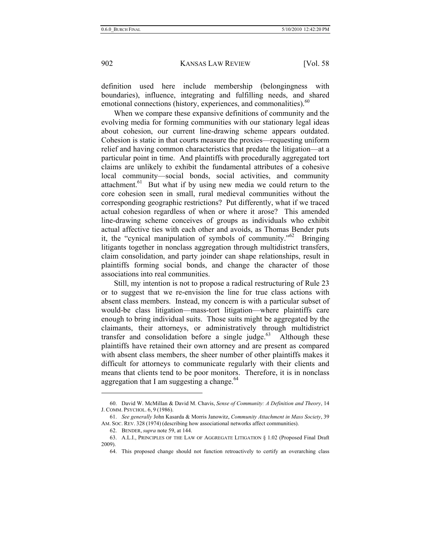definition used here include membership (belongingness with boundaries), influence, integrating and fulfilling needs, and shared emotional connections (history, experiences, and commonalities).<sup>60</sup>

When we compare these expansive definitions of community and the evolving media for forming communities with our stationary legal ideas about cohesion, our current line-drawing scheme appears outdated. Cohesion is static in that courts measure the proxies—requesting uniform relief and having common characteristics that predate the litigation—at a particular point in time. And plaintiffs with procedurally aggregated tort claims are unlikely to exhibit the fundamental attributes of a cohesive local community—social bonds, social activities, and community attachment.<sup>61</sup> But what if by using new media we could return to the core cohesion seen in small, rural medieval communities without the corresponding geographic restrictions? Put differently, what if we traced actual cohesion regardless of when or where it arose? This amended line-drawing scheme conceives of groups as individuals who exhibit actual affective ties with each other and avoids, as Thomas Bender puts it, the "cynical manipulation of symbols of community."<sup>62</sup> Bringing litigants together in nonclass aggregation through multidistrict transfers, claim consolidation, and party joinder can shape relationships, result in plaintiffs forming social bonds, and change the character of those associations into real communities.

Still, my intention is not to propose a radical restructuring of Rule 23 or to suggest that we re-envision the line for true class actions with absent class members. Instead, my concern is with a particular subset of would-be class litigation—mass-tort litigation—where plaintiffs care enough to bring individual suits. Those suits might be aggregated by the claimants, their attorneys, or administratively through multidistrict transfer and consolidation before a single judge.<sup>63</sup> Although these plaintiffs have retained their own attorney and are present as compared with absent class members, the sheer number of other plaintiffs makes it difficult for attorneys to communicate regularly with their clients and means that clients tend to be poor monitors. Therefore, it is in nonclass aggregation that I am suggesting a change. $64$ 

l

 <sup>60.</sup> David W. McMillan & David M. Chavis, *Sense of Community: A Definition and Theory*, 14 J. COMM. PSYCHOL. 6, 9 (1986).

<sup>61.</sup> *See generally* John Kasarda & Morris Janowitz, *Community Attachment in Mass Society*, 39 AM. SOC. REV. 328 (1974) (describing how associational networks affect communities).

 <sup>62.</sup> BENDER, *supra* note 59, at 144.

 <sup>63.</sup> A.L.I., PRINCIPLES OF THE LAW OF AGGREGATE LITIGATION § 1.02 (Proposed Final Draft 2009).

 <sup>64.</sup> This proposed change should not function retroactively to certify an overarching class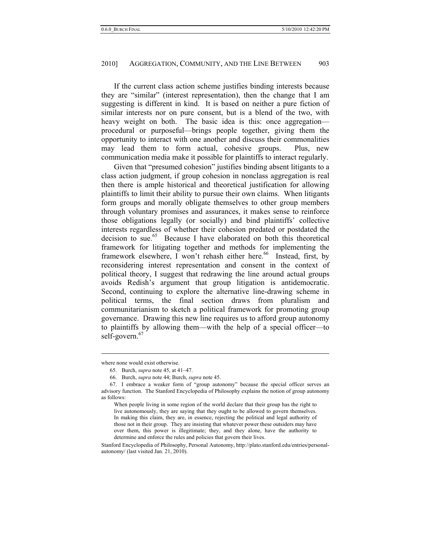If the current class action scheme justifies binding interests because they are "similar" (interest representation), then the change that I am suggesting is different in kind. It is based on neither a pure fiction of similar interests nor on pure consent, but is a blend of the two, with heavy weight on both. The basic idea is this: once aggregation procedural or purposeful—brings people together, giving them the opportunity to interact with one another and discuss their commonalities may lead them to form actual, cohesive groups. Plus, new communication media make it possible for plaintiffs to interact regularly.

Given that "presumed cohesion" justifies binding absent litigants to a class action judgment, if group cohesion in nonclass aggregation is real then there is ample historical and theoretical justification for allowing plaintiffs to limit their ability to pursue their own claims. When litigants form groups and morally obligate themselves to other group members through voluntary promises and assurances, it makes sense to reinforce those obligations legally (or socially) and bind plaintiffs' collective interests regardless of whether their cohesion predated or postdated the decision to sue.<sup>65</sup> Because I have elaborated on both this theoretical framework for litigating together and methods for implementing the framework elsewhere, I won't rehash either here.<sup>66</sup> Instead, first, by reconsidering interest representation and consent in the context of political theory, I suggest that redrawing the line around actual groups avoids Redish's argument that group litigation is antidemocratic. Second, continuing to explore the alternative line-drawing scheme in political terms, the final section draws from pluralism and communitarianism to sketch a political framework for promoting group governance. Drawing this new line requires us to afford group autonomy to plaintiffs by allowing them—with the help of a special officer—to self-govern.<sup>67</sup>

 $\overline{a}$ 

where none would exist otherwise.

 <sup>65.</sup> Burch, *supra* note 45, at 41–47.

 <sup>66.</sup> Burch, *supra* note 44; Burch, *supra* note 45.

 <sup>67.</sup> I embrace a weaker form of "group autonomy" because the special officer serves an advisory function. The Stanford Encyclopedia of Philosophy explains the notion of group autonomy as follows:

When people living in some region of the world declare that their group has the right to live autonomously, they are saying that they ought to be allowed to govern themselves. In making this claim, they are, in essence, rejecting the political and legal authority of those not in their group. They are insisting that whatever power these outsiders may have over them, this power is illegitimate; they, and they alone, have the authority to determine and enforce the rules and policies that govern their lives.

Stanford Encyclopedia of Philosophy, Personal Autonomy, http://plato.stanford.edu/entries/personalautonomy/ (last visited Jan. 21, 2010).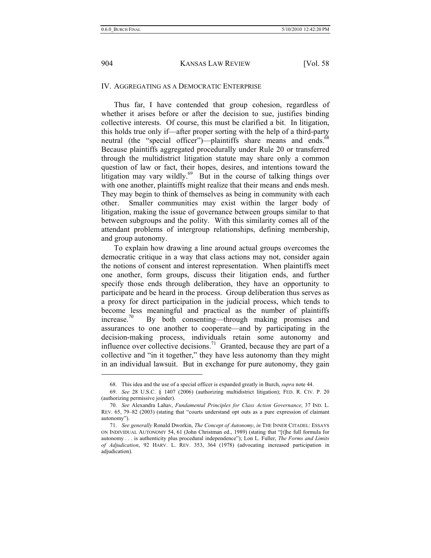$\overline{a}$ 

## 904 KANSAS LAW REVIEW [Vol. 58]

## IV. AGGREGATING AS A DEMOCRATIC ENTERPRISE

Thus far, I have contended that group cohesion, regardless of whether it arises before or after the decision to sue, justifies binding collective interests. Of course, this must be clarified a bit. In litigation, this holds true only if—after proper sorting with the help of a third-party neutral (the "special officer")—plaintiffs share means and ends.<sup>68</sup> Because plaintiffs aggregated procedurally under Rule 20 or transferred through the multidistrict litigation statute may share only a common question of law or fact, their hopes, desires, and intentions toward the litigation may vary wildly. $69$  But in the course of talking things over with one another, plaintiffs might realize that their means and ends mesh. They may begin to think of themselves as being in community with each other. Smaller communities may exist within the larger body of litigation, making the issue of governance between groups similar to that between subgroups and the polity. With this similarity comes all of the attendant problems of intergroup relationships, defining membership, and group autonomy.

To explain how drawing a line around actual groups overcomes the democratic critique in a way that class actions may not, consider again the notions of consent and interest representation. When plaintiffs meet one another, form groups, discuss their litigation ends, and further specify those ends through deliberation, they have an opportunity to participate and be heard in the process. Group deliberation thus serves as a proxy for direct participation in the judicial process, which tends to become less meaningful and practical as the number of plaintiffs increase.<sup>70</sup> By both consenting—through making promises and assurances to one another to cooperate—and by participating in the decision-making process, individuals retain some autonomy and influence over collective decisions.<sup>71</sup> Granted, because they are part of a collective and "in it together," they have less autonomy than they might in an individual lawsuit. But in exchange for pure autonomy, they gain

 <sup>68.</sup> This idea and the use of a special officer is expanded greatly in Burch, *supra* note 44.

<sup>69.</sup> *See* 28 U.S.C. § 1407 (2006) (authorizing multidistrict litigation); FED. R. CIV. P. 20 (authorizing permissive joinder).

<sup>70.</sup> *See* Alexandra Lahav, *Fundamental Principles for Class Action Governance*, 37 IND. L. REV. 65, 79–82 (2003) (stating that "courts understand opt outs as a pure expression of claimant autonomy").

<sup>71.</sup> *See generally* Ronald Dworkin, *The Concept of Autonomy*, *in* THE INNER CITADEL: ESSAYS ON INDIVIDUAL AUTONOMY 54, 61 (John Christman ed., 1989) (stating that "[t]he full formula for autonomy . . . is authenticity plus procedural independence"); Lon L. Fuller, *The Forms and Limits of Adjudication*, 92 HARV. L. REV. 353, 364 (1978) (advocating increased participation in adjudication).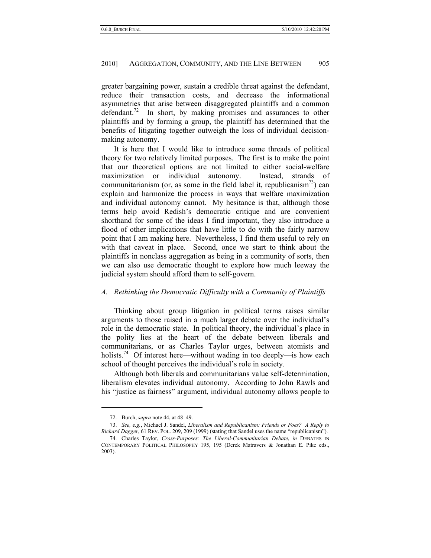greater bargaining power, sustain a credible threat against the defendant, reduce their transaction costs, and decrease the informational asymmetries that arise between disaggregated plaintiffs and a common defendant.<sup>72</sup> In short, by making promises and assurances to other plaintiffs and by forming a group, the plaintiff has determined that the benefits of litigating together outweigh the loss of individual decisionmaking autonomy.

It is here that I would like to introduce some threads of political theory for two relatively limited purposes. The first is to make the point that our theoretical options are not limited to either social-welfare maximization or individual autonomy. Instead, strands of communitarianism (or, as some in the field label it, republicanism<sup>73</sup>) can explain and harmonize the process in ways that welfare maximization and individual autonomy cannot. My hesitance is that, although those terms help avoid Redish's democratic critique and are convenient shorthand for some of the ideas I find important, they also introduce a flood of other implications that have little to do with the fairly narrow point that I am making here. Nevertheless, I find them useful to rely on with that caveat in place. Second, once we start to think about the plaintiffs in nonclass aggregation as being in a community of sorts, then we can also use democratic thought to explore how much leeway the judicial system should afford them to self-govern.

## *A. Rethinking the Democratic Difficulty with a Community of Plaintiffs*

Thinking about group litigation in political terms raises similar arguments to those raised in a much larger debate over the individual's role in the democratic state. In political theory, the individual's place in the polity lies at the heart of the debate between liberals and communitarians, or as Charles Taylor urges, between atomists and holists.<sup>74</sup> Of interest here—without wading in too deeply—is how each school of thought perceives the individual's role in society.

Although both liberals and communitarians value self-determination, liberalism elevates individual autonomy. According to John Rawls and his "justice as fairness" argument, individual autonomy allows people to

1

 <sup>72.</sup> Burch, *supra* note 44, at 48–49.

<sup>73.</sup> *See, e.g.*, Michael J. Sandel, *Liberalism and Republicanism: Friends or Foes? A Reply to Richard Dagger*, 61 REV. POL. 209, 209 (1999) (stating that Sandel uses the name "republicanism").

 <sup>74.</sup> Charles Taylor, *Cross-Purposes: The Liberal-Communitarian Debate*, *in* DEBATES IN CONTEMPORARY POLITICAL PHILOSOPHY 195, 195 (Derek Matravers & Jonathan E. Pike eds., 2003).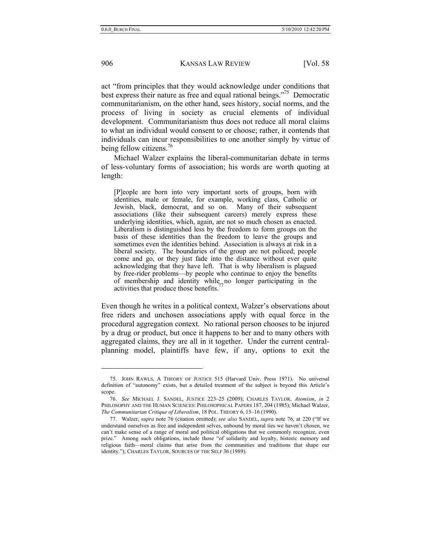act "from principles that they would acknowledge under conditions that best express their nature as free and equal rational beings."75 Democratic communitarianism, on the other hand, sees history, social norms, and the process of living in society as crucial elements of individual development. Communitarianism thus does not reduce all moral claims to what an individual would consent to or choose; rather, it contends that individuals can incur responsibilities to one another simply by virtue of being fellow citizens.<sup>76</sup>

Michael Walzer explains the liberal-communitarian debate in terms of less-voluntary forms of association; his words are worth quoting at length:

[P]eople are born into very important sorts of groups, born with identities, male or female, for example, working class, Catholic or Jewish, black, democrat, and so on. Many of their subsequent associations (like their subsequent careers) merely express these underlying identities, which, again, are not so much chosen as enacted. Liberalism is distinguished less by the freedom to form groups on the basis of these identities than the freedom to leave the groups and sometimes even the identities behind. Association is always at risk in a liberal society. The boundaries of the group are not policed; people come and go, or they just fade into the distance without ever quite acknowledging that they have left. That is why liberalism is plagued by free-rider problems—by people who continue to enjoy the benefits of membership and identity while no longer participating in the activities that produce those benefits.

Even though he writes in a political context, Walzer's observations about free riders and unchosen associations apply with equal force in the procedural aggregation context. No rational person chooses to be injured by a drug or product, but once it happens to her and to many others with aggregated claims, they are all in it together. Under the current centralplanning model, plaintiffs have few, if any, options to exit the

 $\overline{a}$ 

 <sup>75.</sup> JOHN RAWLS, A THEORY OF JUSTICE 515 (Harvard Univ. Press 1971). No universal definition of "autonomy" exists, but a detailed treatment of the subject is beyond this Article's scope.

<sup>76.</sup> *See* MICHAEL J. SANDEL, JUSTICE 223–25 (2009); CHARLES TAYLOR, *Atomism*, *in* 2 PHILOSOPHY AND THE HUMAN SCIENCES: PHILOSOPHICAL PAPERS 187, 204 (1985); Michael Walzer, *The Communitarian Critique of Liberalism*, 18 POL. THEORY 6, 15–16 (1990).

 <sup>77.</sup> Walzer, *supra* note 76 (citation omitted); *see also* SANDEL, *supra* note 76, at 220 ("If we understand ourselves as free and independent selves, unbound by moral ties we haven't chosen, we can't make sense of a range of moral and political obligations that we commonly recognize, even prize." Among such obligations, include those "of solidarity and loyalty, historic memory and religious faith—moral claims that arise from the communities and traditions that shape our identity."); CHARLES TAYLOR, SOURCES OF THE SELF 36 (1989).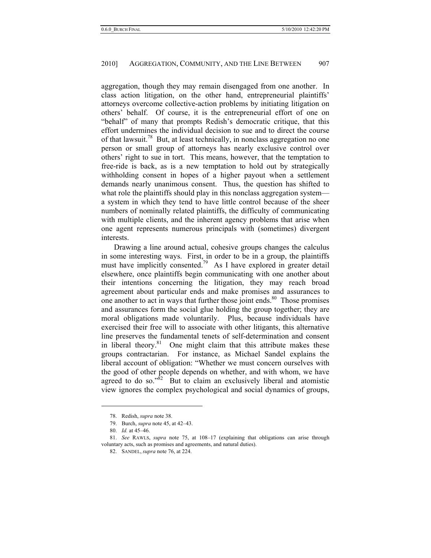aggregation, though they may remain disengaged from one another. In class action litigation, on the other hand, entrepreneurial plaintiffs' attorneys overcome collective-action problems by initiating litigation on others' behalf. Of course, it is the entrepreneurial effort of one on "behalf" of many that prompts Redish's democratic critique, that this effort undermines the individual decision to sue and to direct the course of that lawsuit.<sup>78</sup> But, at least technically, in nonclass aggregation no one person or small group of attorneys has nearly exclusive control over others' right to sue in tort. This means, however, that the temptation to free-ride is back, as is a new temptation to hold out by strategically withholding consent in hopes of a higher payout when a settlement demands nearly unanimous consent. Thus, the question has shifted to what role the plaintiffs should play in this nonclass aggregation system a system in which they tend to have little control because of the sheer numbers of nominally related plaintiffs, the difficulty of communicating with multiple clients, and the inherent agency problems that arise when one agent represents numerous principals with (sometimes) divergent interests.

Drawing a line around actual, cohesive groups changes the calculus in some interesting ways. First, in order to be in a group, the plaintiffs must have implicitly consented.<sup>79</sup> As I have explored in greater detail elsewhere, once plaintiffs begin communicating with one another about their intentions concerning the litigation, they may reach broad agreement about particular ends and make promises and assurances to one another to act in ways that further those joint ends. $80$  Those promises and assurances form the social glue holding the group together; they are moral obligations made voluntarily. Plus, because individuals have exercised their free will to associate with other litigants, this alternative line preserves the fundamental tenets of self-determination and consent in liberal theory.<sup>81</sup> One might claim that this attribute makes these groups contractarian. For instance, as Michael Sandel explains the liberal account of obligation: "Whether we must concern ourselves with the good of other people depends on whether, and with whom, we have agreed to do so."<sup>82</sup> But to claim an exclusively liberal and atomistic view ignores the complex psychological and social dynamics of groups,

 $\overline{a}$ 

 <sup>78.</sup> Redish, *supra* note 38.

 <sup>79.</sup> Burch, *supra* note 45, at 42–43.

<sup>80.</sup> *Id.* at 45–46.

<sup>81.</sup> *See* RAWLS, *supra* note 75, at 108–17 (explaining that obligations can arise through voluntary acts, such as promises and agreements, and natural duties).

 <sup>82.</sup> SANDEL, *supra* note 76, at 224.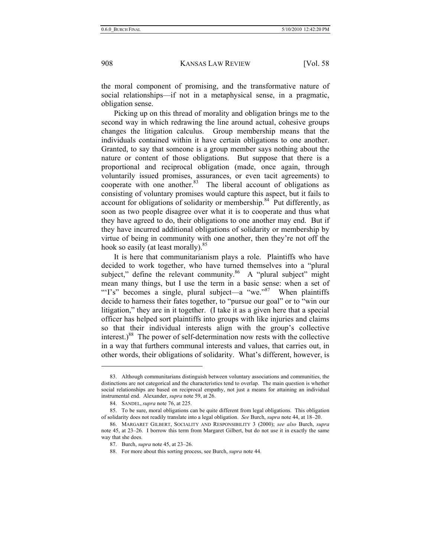the moral component of promising, and the transformative nature of social relationships—if not in a metaphysical sense, in a pragmatic, obligation sense.

Picking up on this thread of morality and obligation brings me to the second way in which redrawing the line around actual, cohesive groups changes the litigation calculus. Group membership means that the individuals contained within it have certain obligations to one another. Granted, to say that someone is a group member says nothing about the nature or content of those obligations. But suppose that there is a proportional and reciprocal obligation (made, once again, through voluntarily issued promises, assurances, or even tacit agreements) to cooperate with one another.<sup>83</sup> The liberal account of obligations as consisting of voluntary promises would capture this aspect, but it fails to account for obligations of solidarity or membership.<sup>84</sup> Put differently, as soon as two people disagree over what it is to cooperate and thus what they have agreed to do, their obligations to one another may end. But if they have incurred additional obligations of solidarity or membership by virtue of being in community with one another, then they're not off the hook so easily (at least morally).<sup>85</sup>

It is here that communitarianism plays a role. Plaintiffs who have decided to work together, who have turned themselves into a "plural subject," define the relevant community. $86$  A "plural subject" might mean many things, but I use the term in a basic sense: when a set of " $I's$ " becomes a single, plural subject—a "we."<sup>87</sup> When plaintiffs decide to harness their fates together, to "pursue our goal" or to "win our litigation," they are in it together. (I take it as a given here that a special officer has helped sort plaintiffs into groups with like injuries and claims so that their individual interests align with the group's collective interest.) $88$  The power of self-determination now rests with the collective in a way that furthers communal interests and values, that carries out, in other words, their obligations of solidarity. What's different, however, is

-

 <sup>83.</sup> Although communitarians distinguish between voluntary associations and communities, the distinctions are not categorical and the characteristics tend to overlap. The main question is whether social relationships are based on reciprocal empathy, not just a means for attaining an individual instrumental end. Alexander, *supra* note 59, at 26.

 <sup>84.</sup> SANDEL, *supra* note 76, at 225.

 <sup>85.</sup> To be sure, moral obligations can be quite different from legal obligations. This obligation of solidarity does not readily translate into a legal obligation. *See* Burch, *supra* note 44, at 18–20.

 <sup>86.</sup> MARGARET GILBERT, SOCIALITY AND RESPONSIBILITY 3 (2000); *see also* Burch, *supra*  note 45, at 23–26. I borrow this term from Margaret Gilbert, but do not use it in exactly the same way that she does.

 <sup>87.</sup> Burch, *supra* note 45, at 23–26.

 <sup>88.</sup> For more about this sorting process, see Burch, *supra* note 44.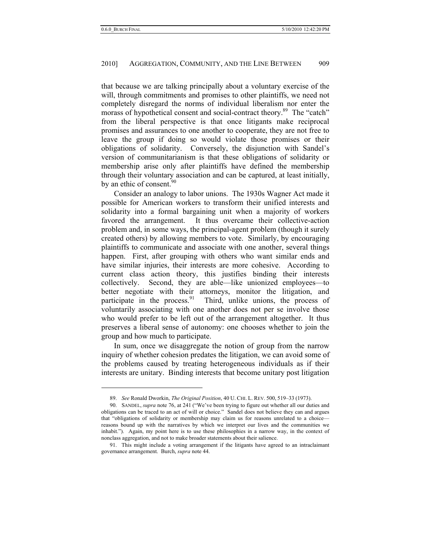l

#### 2010] AGGREGATION, COMMUNITY, AND THE LINE BETWEEN 909

that because we are talking principally about a voluntary exercise of the will, through commitments and promises to other plaintiffs, we need not completely disregard the norms of individual liberalism nor enter the morass of hypothetical consent and social-contract theory.<sup>89</sup> The "catch" from the liberal perspective is that once litigants make reciprocal promises and assurances to one another to cooperate, they are not free to leave the group if doing so would violate those promises or their obligations of solidarity. Conversely, the disjunction with Sandel's version of communitarianism is that these obligations of solidarity or membership arise only after plaintiffs have defined the membership through their voluntary association and can be captured, at least initially, by an ethic of consent. $90$ 

Consider an analogy to labor unions. The 1930s Wagner Act made it possible for American workers to transform their unified interests and solidarity into a formal bargaining unit when a majority of workers favored the arrangement. It thus overcame their collective-action problem and, in some ways, the principal-agent problem (though it surely created others) by allowing members to vote. Similarly, by encouraging plaintiffs to communicate and associate with one another, several things happen. First, after grouping with others who want similar ends and have similar injuries, their interests are more cohesive. According to current class action theory, this justifies binding their interests collectively. Second, they are able—like unionized employees—to better negotiate with their attorneys, monitor the litigation, and participate in the process.<sup>91</sup> Third, unlike unions, the process of voluntarily associating with one another does not per se involve those who would prefer to be left out of the arrangement altogether. It thus preserves a liberal sense of autonomy: one chooses whether to join the group and how much to participate.

In sum, once we disaggregate the notion of group from the narrow inquiry of whether cohesion predates the litigation, we can avoid some of the problems caused by treating heterogeneous individuals as if their interests are unitary. Binding interests that become unitary post litigation

<sup>89.</sup> *See* Ronald Dworkin, *The Original Position*, 40 U. CHI. L. REV. 500, 519–33 (1973).

 <sup>90.</sup> SANDEL, *supra* note 76, at 241 ("We've been trying to figure out whether all our duties and obligations can be traced to an act of will or choice." Sandel does not believe they can and argues that "obligations of solidarity or membership may claim us for reasons unrelated to a choice reasons bound up with the narratives by which we interpret our lives and the communities we inhabit."). Again, my point here is to use these philosophies in a narrow way, in the context of nonclass aggregation, and not to make broader statements about their salience.

 <sup>91.</sup> This might include a voting arrangement if the litigants have agreed to an intraclaimant governance arrangement. Burch, *supra* note 44.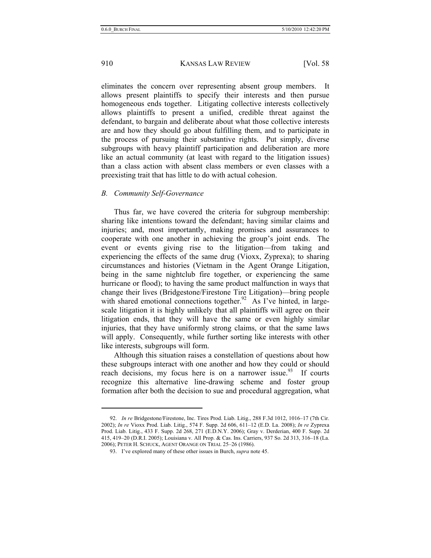-

910 KANSAS LAW REVIEW [Vol. 58]

eliminates the concern over representing absent group members. It allows present plaintiffs to specify their interests and then pursue homogeneous ends together. Litigating collective interests collectively allows plaintiffs to present a unified, credible threat against the defendant, to bargain and deliberate about what those collective interests are and how they should go about fulfilling them, and to participate in the process of pursuing their substantive rights. Put simply, diverse subgroups with heavy plaintiff participation and deliberation are more like an actual community (at least with regard to the litigation issues) than a class action with absent class members or even classes with a preexisting trait that has little to do with actual cohesion.

## *B. Community Self-Governance*

Thus far, we have covered the criteria for subgroup membership: sharing like intentions toward the defendant; having similar claims and injuries; and, most importantly, making promises and assurances to cooperate with one another in achieving the group's joint ends. The event or events giving rise to the litigation—from taking and experiencing the effects of the same drug (Vioxx, Zyprexa); to sharing circumstances and histories (Vietnam in the Agent Orange Litigation, being in the same nightclub fire together, or experiencing the same hurricane or flood); to having the same product malfunction in ways that change their lives (Bridgestone/Firestone Tire Litigation)—bring people with shared emotional connections together.<sup>92</sup> As I've hinted, in largescale litigation it is highly unlikely that all plaintiffs will agree on their litigation ends, that they will have the same or even highly similar injuries, that they have uniformly strong claims, or that the same laws will apply. Consequently, while further sorting like interests with other like interests, subgroups will form.

Although this situation raises a constellation of questions about how these subgroups interact with one another and how they could or should reach decisions, my focus here is on a narrower issue.<sup>93</sup> If courts recognize this alternative line-drawing scheme and foster group formation after both the decision to sue and procedural aggregation, what

<sup>92.</sup> *In re* Bridgestone/Firestone, Inc. Tires Prod. Liab. Litig., 288 F.3d 1012, 1016–17 (7th Cir. 2002); *In re* Vioxx Prod. Liab. Litig., 574 F. Supp. 2d 606, 611–12 (E.D. La. 2008); *In re* Zyprexa Prod. Liab. Litig., 433 F. Supp. 2d 268, 271 (E.D.N.Y. 2006); Gray v. Derderian, 400 F. Supp. 2d 415, 419–20 (D.R.I. 2005); Louisiana v. All Prop. & Cas. Ins. Carriers, 937 So. 2d 313, 316–18 (La. 2006); PETER H. SCHUCK, AGENT ORANGE ON TRIAL 25–26 (1986).

 <sup>93.</sup> I've explored many of these other issues in Burch, *supra* note 45.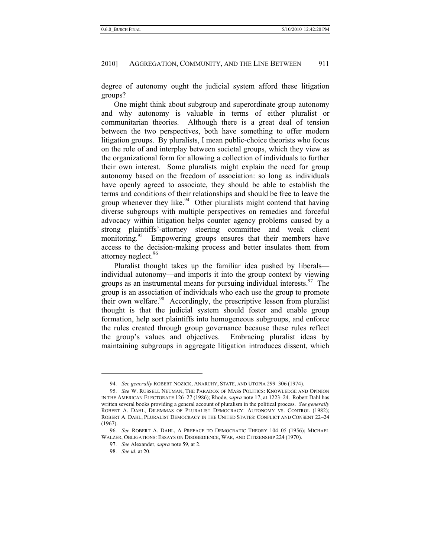degree of autonomy ought the judicial system afford these litigation groups?

One might think about subgroup and superordinate group autonomy and why autonomy is valuable in terms of either pluralist or communitarian theories. Although there is a great deal of tension between the two perspectives, both have something to offer modern litigation groups. By pluralists, I mean public-choice theorists who focus on the role of and interplay between societal groups, which they view as the organizational form for allowing a collection of individuals to further their own interest. Some pluralists might explain the need for group autonomy based on the freedom of association: so long as individuals have openly agreed to associate, they should be able to establish the terms and conditions of their relationships and should be free to leave the group whenever they like.<sup>94</sup> Other pluralists might contend that having diverse subgroups with multiple perspectives on remedies and forceful advocacy within litigation helps counter agency problems caused by a strong plaintiffs'-attorney steering committee and weak client monitoring.<sup>95</sup> Empowering groups ensures that their members have access to the decision-making process and better insulates them from attorney neglect.<sup>96</sup>

Pluralist thought takes up the familiar idea pushed by liberals individual autonomy—and imports it into the group context by viewing groups as an instrumental means for pursuing individual interests.<sup>97</sup> The group is an association of individuals who each use the group to promote their own welfare.<sup>98</sup> Accordingly, the prescriptive lesson from pluralist thought is that the judicial system should foster and enable group formation, help sort plaintiffs into homogeneous subgroups, and enforce the rules created through group governance because these rules reflect the group's values and objectives. Embracing pluralist ideas by maintaining subgroups in aggregate litigation introduces dissent, which

l

<sup>94.</sup> *See generally* ROBERT NOZICK, ANARCHY, STATE, AND UTOPIA 299–306 (1974).

<sup>95.</sup> *See* W. RUSSELL NEUMAN, THE PARADOX OF MASS POLITICS: KNOWLEDGE AND OPINION IN THE AMERICAN ELECTORATE 126–27 (1986); Rhode, *supra* note 17, at 1223–24. Robert Dahl has written several books providing a general account of pluralism in the political process. *See generally*  ROBERT A. DAHL, DILEMMAS OF PLURALIST DEMOCRACY: AUTONOMY VS. CONTROL (1982); ROBERT A. DAHL, PLURALIST DEMOCRACY IN THE UNITED STATES: CONFLICT AND CONSENT 22–24 (1967).

<sup>96.</sup> *See* ROBERT A. DAHL, A PREFACE TO DEMOCRATIC THEORY 104–05 (1956); MICHAEL WALZER, OBLIGATIONS: ESSAYS ON DISOBEDIENCE, WAR, AND CITIZENSHIP 224 (1970).

<sup>97.</sup> *See* Alexander, *supra* note 59, at 2.

<sup>98.</sup> *See id.* at 20.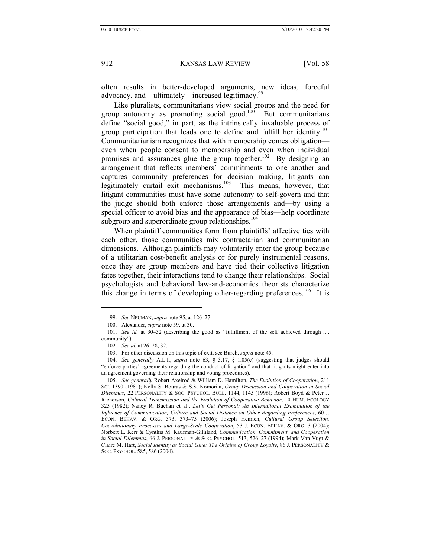often results in better-developed arguments, new ideas, forceful advocacy, and—ultimately—increased legitimacy.<sup>99</sup>

Like pluralists, communitarians view social groups and the need for group autonomy as promoting social good. $100^\circ$  But communitarians define "social good," in part, as the intrinsically invaluable process of group participation that leads one to define and fulfill her identity.<sup>101</sup> Communitarianism recognizes that with membership comes obligation even when people consent to membership and even when individual promises and assurances glue the group together.<sup>102</sup> By designing an arrangement that reflects members' commitments to one another and captures community preferences for decision making, litigants can legitimately curtail exit mechanisms.<sup>103</sup> This means, however, that litigant communities must have some autonomy to self-govern and that the judge should both enforce those arrangements and—by using a special officer to avoid bias and the appearance of bias—help coordinate subgroup and superordinate group relationships.<sup>104</sup>

When plaintiff communities form from plaintiffs' affective ties with each other, those communities mix contractarian and communitarian dimensions. Although plaintiffs may voluntarily enter the group because of a utilitarian cost-benefit analysis or for purely instrumental reasons, once they are group members and have tied their collective litigation fates together, their interactions tend to change their relationships. Social psychologists and behavioral law-and-economics theorists characterize this change in terms of developing other-regarding preferences.<sup>105</sup> It is

1

<sup>99.</sup> *See* NEUMAN, *supra* note 95, at 126–27.

 <sup>100.</sup> Alexander, *supra* note 59, at 30.

<sup>101.</sup> See id. at 30-32 (describing the good as "fulfillment of the self achieved through ... community").

<sup>102.</sup> *See id.* at 26–28, 32.

 <sup>103.</sup> For other discussion on this topic of exit, see Burch, *supra* note 45.

<sup>104.</sup> *See generally* A.L.I., *supra* note 63, § 3.17, § 1.05(c) (suggesting that judges should "enforce parties' agreements regarding the conduct of litigation" and that litigants might enter into an agreement governing their relationship and voting procedures).

<sup>105.</sup> *See generally* Robert Axelrod & William D. Hamilton, *The Evolution of Cooperation*, 211 SCI. 1390 (1981); Kelly S. Bouras & S.S. Komorita, *Group Discussion and Cooperation in Social Dilemmas*, 22 PERSONALITY & SOC. PSYCHOL. BULL. 1144, 1145 (1996); Robert Boyd & Peter J. Richerson, *Cultural Transmission and the Evolution of Cooperative Behavior*, 10 HUM. ECOLOGY 325 (1982); Nancy R. Buchan et al., *Let's Get Personal: An International Examination of the Influence of Communication, Culture and Social Distance on Other Regarding Preferences*, 60 J. ECON. BEHAV. & ORG. 373, 373–75 (2006); Joseph Henrich, *Cultural Group Selection, Coevolutionary Processes and Large-Scale Cooperation*, 53 J. ECON. BEHAV. & ORG. 3 (2004); Norbert L. Kerr & Cynthia M. Kaufman-Gilliland, *Communication, Commitment, and Cooperation in Social Dilemmas*, 66 J. PERSONALITY & SOC. PSYCHOL. 513, 526–27 (1994); Mark Van Vugt & Claire M. Hart, *Social Identity as Social Glue: The Origins of Group Loyalty*, 86 J. PERSONALITY & SOC. PSYCHOL. 585, 586 (2004).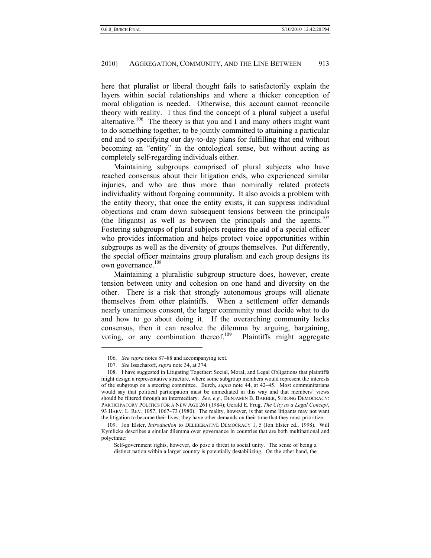here that pluralist or liberal thought fails to satisfactorily explain the layers within social relationships and where a thicker conception of moral obligation is needed. Otherwise, this account cannot reconcile theory with reality. I thus find the concept of a plural subject a useful alternative.<sup>106</sup> The theory is that you and I and many others might want to do something together, to be jointly committed to attaining a particular end and to specifying our day-to-day plans for fulfilling that end without becoming an "entity" in the ontological sense, but without acting as completely self-regarding individuals either.

Maintaining subgroups comprised of plural subjects who have reached consensus about their litigation ends, who experienced similar injuries, and who are thus more than nominally related protects individuality without forgoing community. It also avoids a problem with the entity theory, that once the entity exists, it can suppress individual objections and cram down subsequent tensions between the principals (the litigants) as well as between the principals and the agents. $107$ Fostering subgroups of plural subjects requires the aid of a special officer who provides information and helps protect voice opportunities within subgroups as well as the diversity of groups themselves. Put differently, the special officer maintains group pluralism and each group designs its own governance.<sup>108</sup>

Maintaining a pluralistic subgroup structure does, however, create tension between unity and cohesion on one hand and diversity on the other. There is a risk that strongly autonomous groups will alienate themselves from other plaintiffs. When a settlement offer demands nearly unanimous consent, the larger community must decide what to do and how to go about doing it. If the overarching community lacks consensus, then it can resolve the dilemma by arguing, bargaining, voting, or any combination thereof. $109$  Plaintiffs might aggregate

-

<sup>106.</sup> *See supra* notes 87–88 and accompanying text.

<sup>107.</sup> *See* Issacharoff, *supra* note 34, at 374.

 <sup>108.</sup> I have suggested in Litigating Together: Social, Moral, and Legal Obligations that plaintiffs might design a representative structure, where some subgroup members would represent the interests of the subgroup on a steering committee. Burch, *supra* note 44, at 42–45. Most communitarians would say that political participation must be unmediated in this way and that members' views should be filtered through an intermediary. *See, e.g.*, BENJAMIN B. BARBER, STRONG DEMOCRACY: PARTICIPATORY POLITICS FOR A NEW AGE 261 (1984); Gerald E. Frug, *The City as a Legal Concept*, 93 HARV. L. REV. 1057, 1067–73 (1980). The reality, however, is that some litigants may not want the litigation to become their lives; they have other demands on their time that they must prioritize.

 <sup>109.</sup> Jon Elster, *Introduction* to DELIBERATIVE DEMOCRACY 1, 5 (Jon Elster ed., 1998). Will Kymlicka describes a similar dilemma over governance in countries that are both multinational and polyethnic:

Self-government rights, however, do pose a threat to social unity. The sense of being a distinct nation within a larger country is potentially destabilizing. On the other hand, the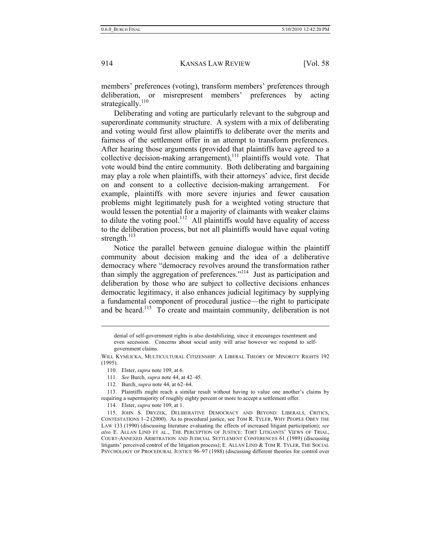members' preferences (voting), transform members' preferences through deliberation, or misrepresent members' preferences by acting strategically.<sup>110</sup>

Deliberating and voting are particularly relevant to the subgroup and superordinate community structure. A system with a mix of deliberating and voting would first allow plaintiffs to deliberate over the merits and fairness of the settlement offer in an attempt to transform preferences. After hearing those arguments (provided that plaintiffs have agreed to a collective decision-making arrangement), $111$  plaintiffs would vote. That vote would bind the entire community. Both deliberating and bargaining may play a role when plaintiffs, with their attorneys' advice, first decide on and consent to a collective decision-making arrangement. For example, plaintiffs with more severe injuries and fewer causation problems might legitimately push for a weighted voting structure that would lessen the potential for a majority of claimants with weaker claims to dilute the voting pool.<sup>112</sup> All plaintiffs would have equality of access to the deliberation process, but not all plaintiffs would have equal voting strength. $^{113}$ 

Notice the parallel between genuine dialogue within the plaintiff community about decision making and the idea of a deliberative democracy where "democracy revolves around the transformation rather than simply the aggregation of preferences."<sup>114</sup> Just as participation and deliberation by those who are subject to collective decisions enhances democratic legitimacy, it also enhances judicial legitimacy by supplying a fundamental component of procedural justice—the right to participate and be heard.<sup>115</sup> To create and maintain community, deliberation is not

l

112. Burch, *supra* note 44, at 62–64.

 113. Plaintiffs might reach a similar result without having to value one another's claims by requiring a supermajority of roughly eighty percent or more to accept a settlement offer.

114. Elster, *supra* note 109, at 1.

 115. JOHN S. DRYZEK, DELIBERATIVE DEMOCRACY AND BEYOND: LIBERALS, CRITICS, CONTESTATIONS 1–2 (2000). As to procedural justice, see TOM R. TYLER, WHY PEOPLE OBEY THE LAW 133 (1990) (discussing literature evaluating the effects of increased litigant participation); *see also* E. ALLAN LIND ET AL., THE PERCEPTION OF JUSTICE: TORT LITIGANTS' VIEWS OF TRIAL, COURT-ANNEXED ARBITRATION AND JUDICIAL SETTLEMENT CONFERENCES 61 (1989) (discussing litigants' perceived control of the litigation process); E. ALLAN LIND & TOM R. TYLER, THE SOCIAL PSYCHOLOGY OF PROCEDURAL JUSTICE 96–97 (1988) (discussing different theories for control over

denial of self-government rights is also destabilizing, since it encourages resentment and even secession. Concerns about social unity will arise however we respond to selfgovernment claims.

WILL KYMLICKA, MULTICULTURAL CITIZENSHIP: A LIBERAL THEORY OF MINORITY RIGHTS 192 (1995).

 <sup>110.</sup> Elster, *supra* note 109, at 6.

<sup>111.</sup> *See* Burch, *supra* note 44, at 42–45.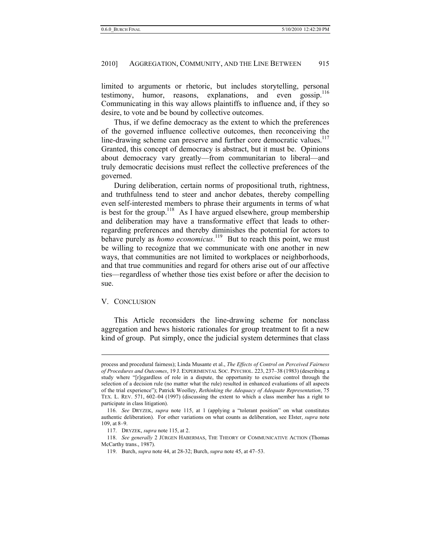limited to arguments or rhetoric, but includes storytelling, personal testimony, humor, reasons, explanations, and even gossip.<sup>116</sup> Communicating in this way allows plaintiffs to influence and, if they so desire, to vote and be bound by collective outcomes.

Thus, if we define democracy as the extent to which the preferences of the governed influence collective outcomes, then reconceiving the line-drawing scheme can preserve and further core democratic values.<sup>117</sup> Granted, this concept of democracy is abstract, but it must be. Opinions about democracy vary greatly—from communitarian to liberal—and truly democratic decisions must reflect the collective preferences of the governed.

During deliberation, certain norms of propositional truth, rightness, and truthfulness tend to steer and anchor debates, thereby compelling even self-interested members to phrase their arguments in terms of what is best for the group.<sup>118</sup> As I have argued elsewhere, group membership and deliberation may have a transformative effect that leads to otherregarding preferences and thereby diminishes the potential for actors to behave purely as *homo economicus*.<sup>119</sup> But to reach this point, we must be willing to recognize that we communicate with one another in new ways, that communities are not limited to workplaces or neighborhoods, and that true communities and regard for others arise out of our affective ties—regardless of whether those ties exist before or after the decision to sue.

## V. CONCLUSION

l

This Article reconsiders the line-drawing scheme for nonclass aggregation and hews historic rationales for group treatment to fit a new kind of group. Put simply, once the judicial system determines that class

process and procedural fairness); Linda Musante et al., *The Effects of Control on Perceived Fairness of Procedures and Outcomes*, 19 J. EXPERIMENTAL SOC. PSYCHOL. 223, 237–38 (1983) (describing a study where "[r]egardless of role in a dispute, the opportunity to exercise control through the selection of a decision rule (no matter what the rule) resulted in enhanced evaluations of all aspects of the trial experience"); Patrick Woolley, *Rethinking the Adequacy of Adequate Representation*, 75 TEX. L. REV. 571, 602–04 (1997) (discussing the extent to which a class member has a right to participate in class litigation).

<sup>116.</sup> *See* DRYZEK, *supra* note 115, at 1 (applying a "tolerant position" on what constitutes authentic deliberation). For other variations on what counts as deliberation, see Elster, *supra* note 109, at 8–9.

 <sup>117.</sup> DRYZEK, *supra* note 115, at 2.

<sup>118.</sup> *See generally* 2 JÜRGEN HABERMAS, THE THEORY OF COMMUNICATIVE ACTION (Thomas McCarthy trans., 1987).

 <sup>119.</sup> Burch, *supra* note 44, at 28-32; Burch, *supra* note 45, at 47–53.